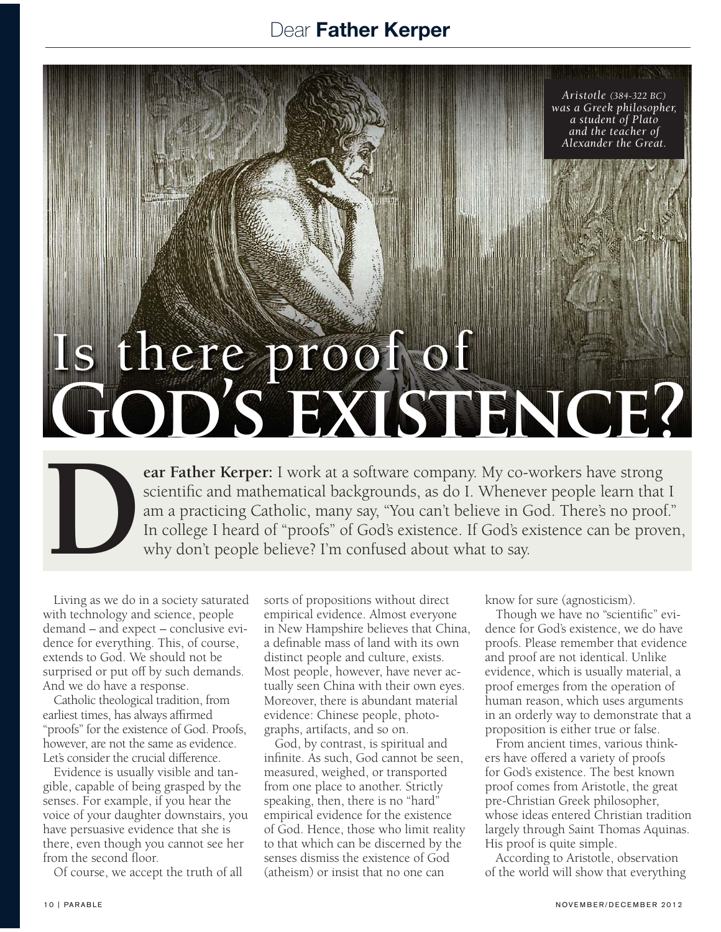## Dear Father Kerper

*Aristotle (384-322 BC) was a Greek philosopher, a student of Plato and the teacher of Alexander the Great.* 

## Is there proof of **God's existence?**

**Example 18 In the US and the Membership Scientific and mathematical backgrounds, as do I. Whenever people learn that am a practicing Catholic, many say, "You can't believe in God. There's no proof In college I heard of "p** scientific and mathematical backgrounds, as do I. Whenever people learn that I am a practicing Catholic, many say, "You can't believe in God. There's no proof." In college I heard of "proofs" of God's existence. If God's existence can be proven, why don't people believe? I'm confused about what to say.

Living as we do in a society saturated with technology and science, people demand – and expect – conclusive evidence for everything. This, of course, extends to God. We should not be surprised or put off by such demands. And we do have a response.

Catholic theological tradition, from earliest times, has always affirmed "proofs" for the existence of God. Proofs, however, are not the same as evidence. Let's consider the crucial difference.

Evidence is usually visible and tangible, capable of being grasped by the senses. For example, if you hear the voice of your daughter downstairs, you have persuasive evidence that she is there, even though you cannot see her from the second floor.

Of course, we accept the truth of all

sorts of propositions without direct empirical evidence. Almost everyone in New Hampshire believes that China, a definable mass of land with its own distinct people and culture, exists. Most people, however, have never actually seen China with their own eyes. Moreover, there is abundant material evidence: Chinese people, photographs, artifacts, and so on.

God, by contrast, is spiritual and infinite. As such, God cannot be seen, measured, weighed, or transported from one place to another. Strictly speaking, then, there is no "hard" empirical evidence for the existence of God. Hence, those who limit reality to that which can be discerned by the senses dismiss the existence of God (atheism) or insist that no one can

know for sure (agnosticism).

Though we have no "scientific" evidence for God's existence, we do have proofs. Please remember that evidence and proof are not identical. Unlike evidence, which is usually material, a proof emerges from the operation of human reason, which uses arguments in an orderly way to demonstrate that a proposition is either true or false.

From ancient times, various thinkers have offered a variety of proofs for God's existence. The best known proof comes from Aristotle, the great pre-Christian Greek philosopher, whose ideas entered Christian tradition largely through Saint Thomas Aquinas. His proof is quite simple.

According to Aristotle, observation of the world will show that everything